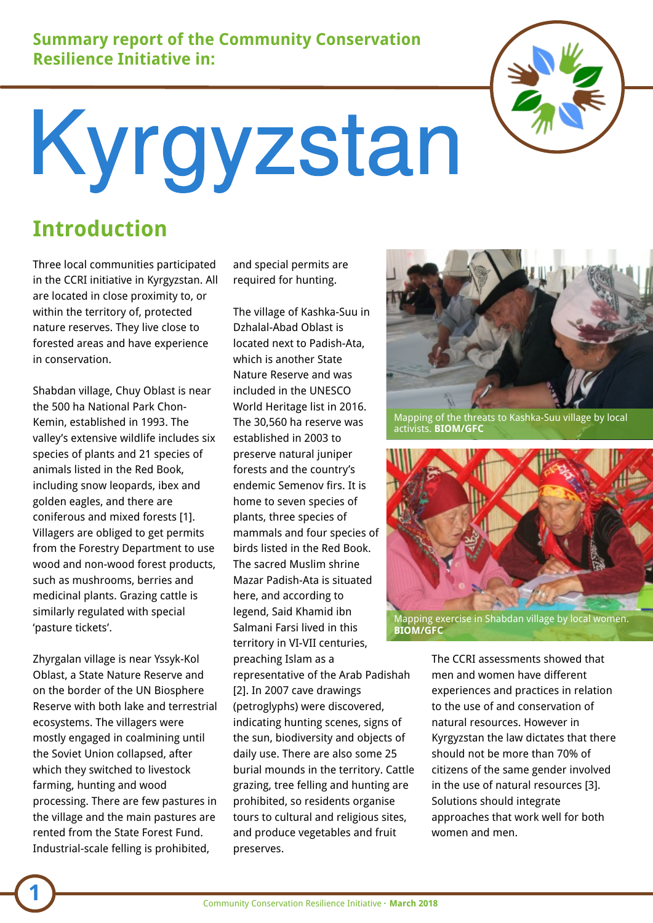#### **Summary report of the Community Conservation Resilience Initiative in:**

# Kyrgyzstan

#### **Introduction**

Three local communities participated in the CCRI initiative in Kyrgyzstan. All are located in close proximity to, or within the territory of, protected nature reserves. They live close to forested areas and have experience in conservation.

Shabdan village, Chuy Oblast is near the 500 ha National Park Chon-Kemin, established in 1993. The valley's extensive wildlife includes six species of plants and 21 species of animals listed in the Red Book, including snow leopards, ibex and golden eagles, and there are coniferous and mixed forests [1]. Villagers are obliged to get permits from the Forestry Department to use wood and non-wood forest products, such as mushrooms, berries and medicinal plants. Grazing cattle is similarly regulated with special 'pasture tickets'.

Zhyrgalan village is near Yssyk-Kol Oblast, a State Nature Reserve and on the border of the UN Biosphere Reserve with both lake and terrestrial ecosystems. The villagers were mostly engaged in coalmining until the Soviet Union collapsed, after which they switched to livestock farming, hunting and wood processing. There are few pastures in the village and the main pastures are rented from the State Forest Fund. Industrial-scale felling is prohibited,

and special permits are required for hunting.

The village of Kashka-Suu in Dzhalal-Abad Oblast is located next to Padish-Ata, which is another State Nature Reserve and was included in the UNESCO World Heritage list in 2016. The 30,560 ha reserve was established in 2003 to preserve natural juniper forests and the country's endemic Semenov firs. It is home to seven species of plants, three species of mammals and four species of birds listed in the Red Book. The sacred Muslim shrine Mazar Padish-Ata is situated here, and according to legend, Said Khamid ibn Salmani Farsi lived in this territory in VI-VII centuries, preaching Islam as a representative of the Arab Padishah [2]. In 2007 cave drawings (petroglyphs) were discovered, indicating hunting scenes, signs of the sun, biodiversity and objects of daily use. There are also some 25 burial mounds in the territory. Cattle grazing, tree felling and hunting are prohibited, so residents organise tours to cultural and religious sites, and produce vegetables and fruit preserves.



Mapping of the threats to Kashka-Suu village by local activists. **BIOM/GFC**



**BIOM/GFC**

The CCRI assessments showed that men and women have different experiences and practices in relation to the use of and conservation of natural resources. However in Kyrgyzstan the law dictates that there should not be more than 70% of citizens of the same gender involved in the use of natural resources [3]. Solutions should integrate approaches that work well for both women and men.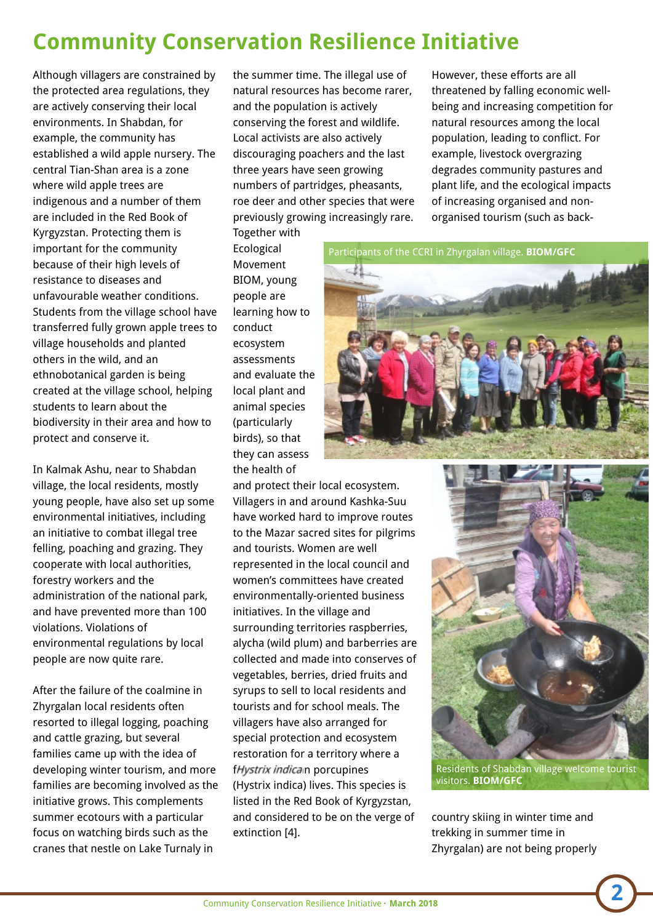#### **Community Conservation Resilience Initiative**

Together with Ecological Movement BIOM, young people are learning how to

conduct ecosystem assessments and evaluate the local plant and animal species (particularly birds), so that they can assess

Although villagers are constrained by the protected area regulations, they are actively conserving their local environments. In Shabdan, for example, the community has established a wild apple nursery. The central Tian-Shan area is a zone where wild apple trees are indigenous and a number of them are included in the Red Book of Kyrgyzstan. Protecting them is important for the community because of their high levels of resistance to diseases and unfavourable weather conditions. Students from the village school have transferred fully grown apple trees to village households and planted others in the wild, and an ethnobotanical garden is being created at the village school, helping students to learn about the biodiversity in their area and how to protect and conserve it.

In Kalmak Ashu, near to Shabdan village, the local residents, mostly young people, have also set up some environmental initiatives, including an initiative to combat illegal tree felling, poaching and grazing. They cooperate with local authorities, forestry workers and the administration of the national park, and have prevented more than 100 violations. Violations of environmental regulations by local people are now quite rare.

After the failure of the coalmine in Zhyrgalan local residents often resorted to illegal logging, poaching and cattle grazing, but several families came up with the idea of developing winter tourism, and more families are becoming involved as the initiative grows. This complements summer ecotours with a particular focus on watching birds such as the cranes that nestle on Lake Turnaly in

the summer time. The illegal use of natural resources has become rarer, and the population is actively conserving the forest and wildlife. Local activists are also actively discouraging poachers and the last three years have seen growing numbers of partridges, pheasants, roe deer and other species that were previously growing increasingly rare.

However, these efforts are all threatened by falling economic wellbeing and increasing competition for natural resources among the local population, leading to conflict. For example, livestock overgrazing degrades community pastures and plant life, and the ecological impacts of increasing organised and nonorganised tourism (such as back-



the health of and protect their local ecosystem. Villagers in and around Kashka-Suu have worked hard to improve routes to the Mazar sacred sites for pilgrims and tourists. Women are well represented in the local council and women's committees have created environmentally-oriented business initiatives. In the village and surrounding territories raspberries, alycha (wild plum) and barberries are collected and made into conserves of vegetables, berries, dried fruits and syrups to sell to local residents and tourists and for school meals. The villagers have also arranged for special protection and ecosystem restoration for a territory where a f*Hystrix indica*n porcupines (Hystrix indica) lives. This species is listed in the Red Book of Kyrgyzstan, and considered to be on the verge of extinction [4].



Residents of Shabdan village welcome tourist visitors. **BIOM/GFC**

country skiing in winter time and trekking in summer time in Zhyrgalan) are not being properly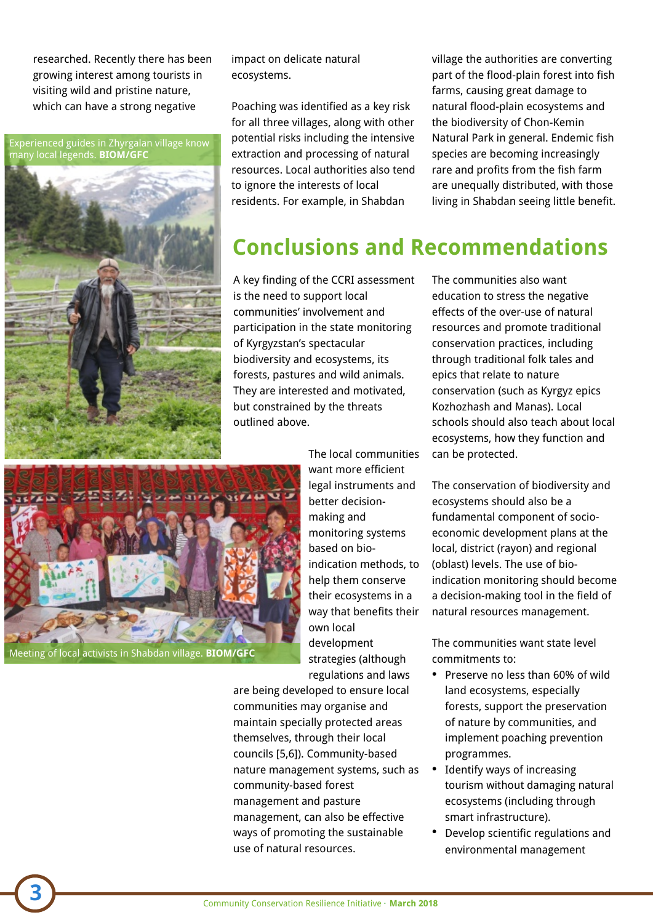researched. Recently there has been growing interest among tourists in visiting wild and pristine nature, which can have a strong negative

Experienced guides in Zhyrgalan village know many local legends. **BIOM/GFC**



impact on delicate natural ecosystems.

Poaching was identified as a key risk for all three villages, along with other potential risks including the intensive extraction and processing of natural resources. Local authorities also tend to ignore the interests of local residents. For example, in Shabdan

village the authorities are converting part of the flood-plain forest into fish farms, causing great damage to natural flood-plain ecosystems and the biodiversity of Chon-Kemin Natural Park in general. Endemic fish species are becoming increasingly rare and profits from the fish farm are unequally distributed, with those living in Shabdan seeing little benefit.

### **Conclusions and Recommendations**

A key finding of the CCRI assessment is the need to support local communities' involvement and participation in the state monitoring of Kyrgyzstan's spectacular biodiversity and ecosystems, its forests, pastures and wild animals. They are interested and motivated, but constrained by the threats outlined above.



Meeting of local activists in Shabdan village. **BIOM/GFC**

The local communities want more efficient legal instruments and better decisionmaking and monitoring systems based on bioindication methods, to help them conserve their ecosystems in a way that benefits their own local development strategies (although regulations and laws

are being developed to ensure local communities may organise and maintain specially protected areas themselves, through their local councils [5,6]). Community-based nature management systems, such as community-based forest management and pasture management, can also be effective ways of promoting the sustainable use of natural resources.

The communities also want education to stress the negative effects of the over-use of natural resources and promote traditional conservation practices, including through traditional folk tales and epics that relate to nature conservation (such as Kyrgyz epics Kozhozhash and Manas). Local schools should also teach about local ecosystems, how they function and can be protected.

The conservation of biodiversity and ecosystems should also be a fundamental component of socioeconomic development plans at the local, district (rayon) and regional (oblast) levels. The use of bioindication monitoring should become a decision-making tool in the field of natural resources management.

The communities want state level commitments to:

- Preserve no less than 60% of wild land ecosystems, especially forests, support the preservation of nature by communities, and implement poaching prevention programmes.
- Identify ways of increasing tourism without damaging natural ecosystems (including through smart infrastructure).
- Develop scientific regulations and environmental management